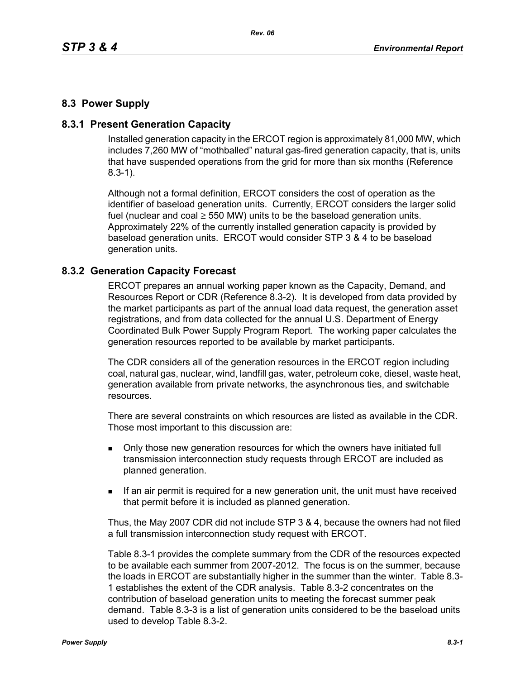# **8.3 Power Supply**

## **8.3.1 Present Generation Capacity**

Installed generation capacity in the ERCOT region is approximately 81,000 MW, which includes 7,260 MW of "mothballed" natural gas-fired generation capacity, that is, units that have suspended operations from the grid for more than six months (Reference 8.3-1).

Although not a formal definition, ERCOT considers the cost of operation as the identifier of baseload generation units. Currently, ERCOT considers the larger solid fuel (nuclear and coal  $\geq$  550 MW) units to be the baseload generation units. Approximately 22% of the currently installed generation capacity is provided by baseload generation units. ERCOT would consider STP 3 & 4 to be baseload generation units.

### **8.3.2 Generation Capacity Forecast**

ERCOT prepares an annual working paper known as the Capacity, Demand, and Resources Report or CDR (Reference 8.3-2). It is developed from data provided by the market participants as part of the annual load data request, the generation asset registrations, and from data collected for the annual U.S. Department of Energy Coordinated Bulk Power Supply Program Report. The working paper calculates the generation resources reported to be available by market participants.

The CDR considers all of the generation resources in the ERCOT region including coal, natural gas, nuclear, wind, landfill gas, water, petroleum coke, diesel, waste heat, generation available from private networks, the asynchronous ties, and switchable resources.

There are several constraints on which resources are listed as available in the CDR. Those most important to this discussion are:

- **Drankler in Solvet** over a only those new generation resources for which the owners have initiated full transmission interconnection study requests through ERCOT are included as planned generation.
- If an air permit is required for a new generation unit, the unit must have received that permit before it is included as planned generation.

Thus, the May 2007 CDR did not include STP 3 & 4, because the owners had not filed a full transmission interconnection study request with ERCOT.

Table 8.3-1 provides the complete summary from the CDR of the resources expected to be available each summer from 2007-2012. The focus is on the summer, because the loads in ERCOT are substantially higher in the summer than the winter. Table 8.3- 1 establishes the extent of the CDR analysis. Table 8.3-2 concentrates on the contribution of baseload generation units to meeting the forecast summer peak demand. Table 8.3-3 is a list of generation units considered to be the baseload units used to develop Table 8.3-2.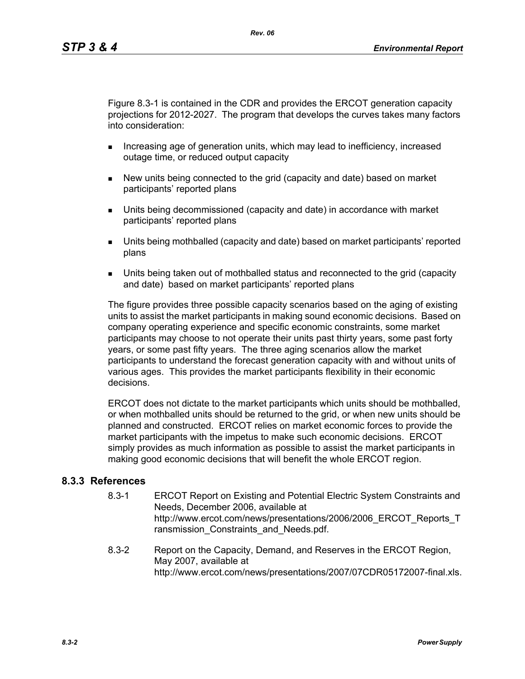Figure 8.3-1 is contained in the CDR and provides the ERCOT generation capacity projections for 2012-2027. The program that develops the curves takes many factors into consideration:

- **Increasing age of generation units, which may lead to inefficiency, increased** outage time, or reduced output capacity
- New units being connected to the grid (capacity and date) based on market participants' reported plans
- Units being decommissioned (capacity and date) in accordance with market participants' reported plans
- Units being mothballed (capacity and date) based on market participants' reported plans
- Units being taken out of mothballed status and reconnected to the grid (capacity and date) based on market participants' reported plans

The figure provides three possible capacity scenarios based on the aging of existing units to assist the market participants in making sound economic decisions. Based on company operating experience and specific economic constraints, some market participants may choose to not operate their units past thirty years, some past forty years, or some past fifty years. The three aging scenarios allow the market participants to understand the forecast generation capacity with and without units of various ages. This provides the market participants flexibility in their economic decisions.

ERCOT does not dictate to the market participants which units should be mothballed, or when mothballed units should be returned to the grid, or when new units should be planned and constructed. ERCOT relies on market economic forces to provide the market participants with the impetus to make such economic decisions. ERCOT simply provides as much information as possible to assist the market participants in making good economic decisions that will benefit the whole ERCOT region.

### **8.3.3 References**

- 8.3-1 ERCOT Report on Existing and Potential Electric System Constraints and Needs, December 2006, available at http://www.ercot.com/news/presentations/2006/2006\_ERCOT\_Reports\_T ransmission Constraints and Needs.pdf.
- 8.3-2 Report on the Capacity, Demand, and Reserves in the ERCOT Region, May 2007, available at http://www.ercot.com/news/presentations/2007/07CDR05172007-final.xls.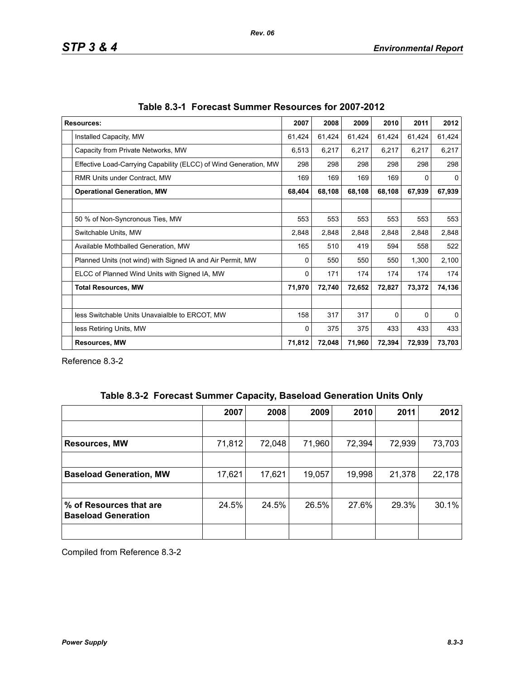| <b>Resources:</b>                                                | 2007   | 2008   | 2009   | 2010     | 2011   | 2012         |
|------------------------------------------------------------------|--------|--------|--------|----------|--------|--------------|
| Installed Capacity, MW                                           | 61,424 | 61,424 | 61,424 | 61,424   | 61,424 | 61,424       |
| Capacity from Private Networks, MW                               | 6,513  | 6,217  | 6,217  | 6,217    | 6,217  | 6,217        |
| Effective Load-Carrying Capability (ELCC) of Wind Generation, MW | 298    | 298    | 298    | 298      | 298    | 298          |
| <b>RMR Units under Contract, MW</b>                              | 169    | 169    | 169    | 169      | 0      | 0            |
| <b>Operational Generation, MW</b>                                | 68,404 | 68,108 | 68,108 | 68,108   | 67,939 | 67,939       |
|                                                                  |        |        |        |          |        |              |
| 50 % of Non-Syncronous Ties, MW                                  | 553    | 553    | 553    | 553      | 553    | 553          |
| Switchable Units, MW                                             | 2,848  | 2,848  | 2,848  | 2,848    | 2,848  | 2,848        |
| Available Mothballed Generation, MW                              | 165    | 510    | 419    | 594      | 558    | 522          |
| Planned Units (not wind) with Signed IA and Air Permit, MW       | 0      | 550    | 550    | 550      | 1,300  | 2,100        |
| ELCC of Planned Wind Units with Signed IA, MW                    | 0      | 171    | 174    | 174      | 174    | 174          |
| <b>Total Resources, MW</b>                                       | 71,970 | 72,740 | 72,652 | 72,827   | 73,372 | 74,136       |
|                                                                  |        |        |        |          |        |              |
| less Switchable Units Unavaialble to ERCOT, MW                   | 158    | 317    | 317    | $\Omega$ | 0      | $\mathbf{0}$ |
| less Retiring Units, MW                                          | 0      | 375    | 375    | 433      | 433    | 433          |
| <b>Resources, MW</b>                                             | 71,812 | 72,048 | 71,960 | 72,394   | 72,939 | 73,703       |

Reference 8.3-2

|  | Table 8.3-2 Forecast Summer Capacity, Baseload Generation Units Only |  |  |  |  |
|--|----------------------------------------------------------------------|--|--|--|--|
|--|----------------------------------------------------------------------|--|--|--|--|

|                                                       | 2007   | 2008   | 2009   | 2010   | 2011   | 2012   |
|-------------------------------------------------------|--------|--------|--------|--------|--------|--------|
|                                                       |        |        |        |        |        |        |
| <b>Resources, MW</b>                                  | 71,812 | 72,048 | 71,960 | 72,394 | 72,939 | 73,703 |
|                                                       |        |        |        |        |        |        |
| <b>Baseload Generation, MW</b>                        | 17,621 | 17,621 | 19,057 | 19,998 | 21,378 | 22,178 |
|                                                       |        |        |        |        |        |        |
| % of Resources that are<br><b>Baseload Generation</b> | 24.5%  | 24.5%  | 26.5%  | 27.6%  | 29.3%  | 30.1%  |
|                                                       |        |        |        |        |        |        |

Compiled from Reference 8.3-2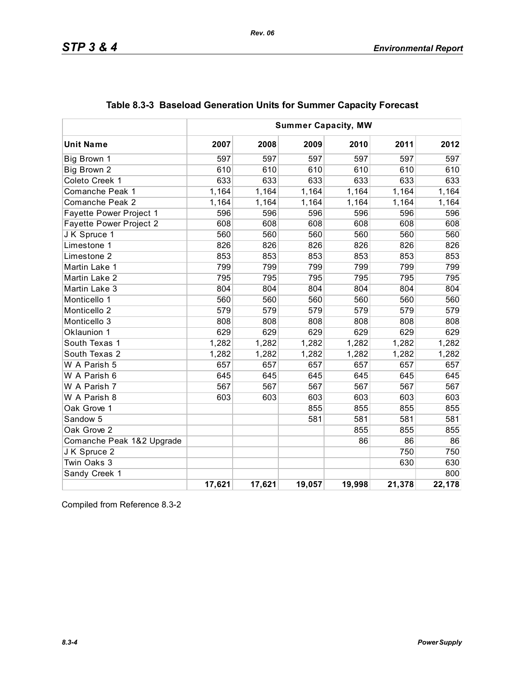| <b>Summer Capacity, MW</b>     |        |        |        |        |        |        |
|--------------------------------|--------|--------|--------|--------|--------|--------|
| <b>Unit Name</b>               | 2007   | 2008   | 2009   | 2010   | 2011   | 2012   |
| Big Brown 1                    | 597    | 597    | 597    | 597    | 597    | 597    |
| Big Brown 2                    | 610    | 610    | 610    | 610    | 610    | 610    |
| Coleto Creek 1                 | 633    | 633    | 633    | 633    | 633    | 633    |
| Comanche Peak 1                | 1,164  | 1,164  | 1,164  | 1,164  | 1,164  | 1,164  |
| <b>Comanche Peak 2</b>         | 1,164  | 1,164  | 1,164  | 1,164  | 1,164  | 1,164  |
| <b>Fayette Power Project 1</b> | 596    | 596    | 596    | 596    | 596    | 596    |
| Fayette Power Project 2        | 608    | 608    | 608    | 608    | 608    | 608    |
| J K Spruce 1                   | 560    | 560    | 560    | 560    | 560    | 560    |
| Limestone 1                    | 826    | 826    | 826    | 826    | 826    | 826    |
| Limestone 2                    | 853    | 853    | 853    | 853    | 853    | 853    |
| Martin Lake 1                  | 799    | 799    | 799    | 799    | 799    | 799    |
| Martin Lake 2                  | 795    | 795    | 795    | 795    | 795    | 795    |
| Martin Lake 3                  | 804    | 804    | 804    | 804    | 804    | 804    |
| Monticello 1                   | 560    | 560    | 560    | 560    | 560    | 560    |
| Monticello 2                   | 579    | 579    | 579    | 579    | 579    | 579    |
| Monticello 3                   | 808    | 808    | 808    | 808    | 808    | 808    |
| Oklaunion 1                    | 629    | 629    | 629    | 629    | 629    | 629    |
| South Texas 1                  | 1,282  | 1,282  | 1,282  | 1,282  | 1,282  | 1,282  |
| South Texas 2                  | 1,282  | 1,282  | 1,282  | 1,282  | 1,282  | 1,282  |
| W A Parish 5                   | 657    | 657    | 657    | 657    | 657    | 657    |
| W A Parish 6                   | 645    | 645    | 645    | 645    | 645    | 645    |
| W A Parish 7                   | 567    | 567    | 567    | 567    | 567    | 567    |
| W A Parish 8                   | 603    | 603    | 603    | 603    | 603    | 603    |
| Oak Grove 1                    |        |        | 855    | 855    | 855    | 855    |
| Sandow 5                       |        |        | 581    | 581    | 581    | 581    |
| Oak Grove 2                    |        |        |        | 855    | 855    | 855    |
| Comanche Peak 1&2 Upgrade      |        |        |        | 86     | 86     | 86     |
| J K Spruce 2                   |        |        |        |        | 750    | 750    |
| Twin Oaks 3                    |        |        |        |        | 630    | 630    |
| Sandy Creek 1                  |        |        |        |        |        | 800    |
|                                | 17,621 | 17,621 | 19,057 | 19,998 | 21,378 | 22,178 |

|  |  | Table 8.3-3 Baseload Generation Units for Summer Capacity Forecast |  |  |  |  |
|--|--|--------------------------------------------------------------------|--|--|--|--|
|--|--|--------------------------------------------------------------------|--|--|--|--|

Compiled from Reference 8.3-2